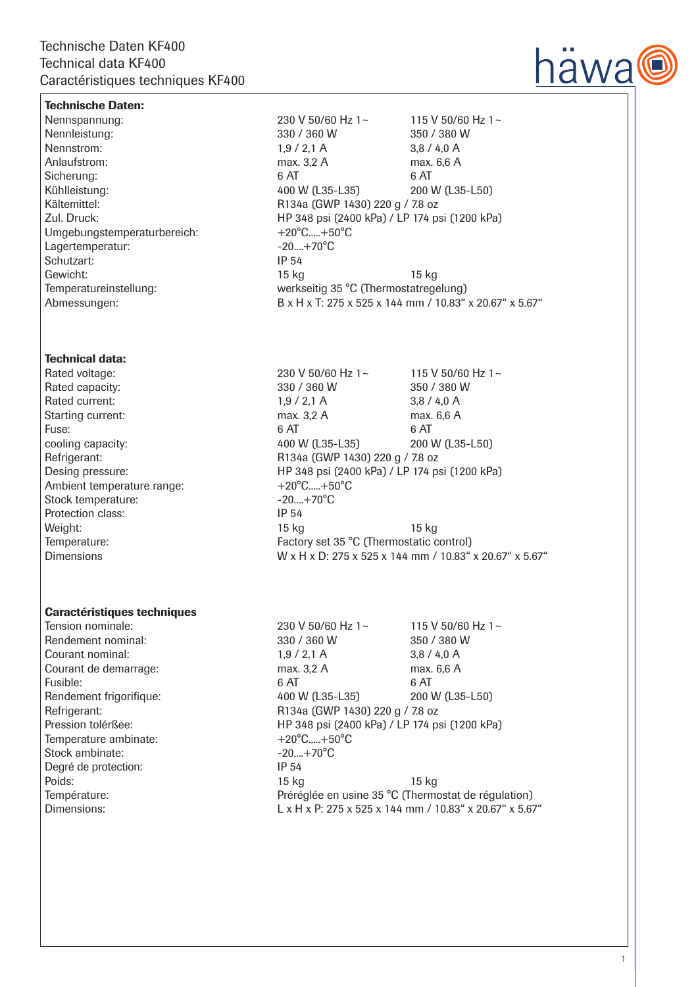

## Technische Daten:

Umgebungstemperaturbereich: +20°C.....+50°C Lagertemperatur:  $-20...+70^{\circ}$ C Schutzart: IP 54

## Technical data:

Ambient temperature range:  $+20^{\circ}$ C.....+50°C Stock temperature:  $-20...+70^{\circ}C$ Protection class: IP 54

## Caractéristiques techniques

Temperature ambinate:  $+20^{\circ}$ C.....+50°C<br>Stock ambinate:  $-20$ ....+70°C Stock ambinate: Degré de protection: IP 54

Nennspannung: 230 V 50/60 Hz 1~ 115 V 50/60 Hz 1~ Nennleistung: 330 / 360 W 350 / 380 W Nennstrom: 1,9 / 2,1 A 3,8 / 4,0 A Anlaufstrom: max. 3.2 A max. 6.6 A Sicherung: 6 AT 6 AT 6 AT Kühlleistung: 400 W (L35-L35) 200 W (L35-L50) Kältemittel: Kältemittel: R134a (GWP 1430) 220 g / 7.8 oz Zul. Druck: HP 348 psi (2400 kPa) / LP 174 psi (1200 kPa) Gewicht: 15 kg 15 kg Temperatureinstellung: werkseitig 35 °C (Thermostatregelung) Abmessungen: B x H x T: 275 x 525 x 144 mm / 10.83" x 20.67" x 5.67"

Rated voltage: 230 V 50/60 Hz 1~ 115 V 50/60 Hz 1~ Rated capacity:  $330 / 360 W$  330 / 380 W Rated current: 1,9 / 2,1 A 3,8 / 4,0 A Starting current: max. 3,2 A max. 6,6 A<br>Fuse: 6 AT 6 AT 6 AT 6 AT Fuse: 6 AT 6 AT 6 AT cooling capacity: 400 W (L35-L35) 200 W (L35-L50) Refrigerant: R134a (GWP 1430) 220 g / 7.8 oz Desing pressure: HP 348 psi (2400 kPa) / LP 174 psi (1200 kPa) Weight: 15 kg 15 kg Temperature: Temperature: Factory set 35 °C (Thermostatic control) Dimensions W x H x D: 275 x 525 x 144 mm / 10.83" x 20.67" x 5.67"

Tension nominale: 230 V 50/60 Hz 1~ 115 V 50/60 Hz 1~ Rendement nominal: 330 / 360 W 350 / 380 W Courant nominal: 1,9 / 2,1 A 3,8 / 4,0 A Courant de demarrage: max. 3,2 A max. 6,6 A Fusible: 6 AT 6 AT 6 AT Rendement frigorifique: 400 W (L35-L35) 200 W (L35-L50) Refrigerant: Refrigerant: R134a (GWP 1430) 220 g / 7.8 oz Pression tolérßee: HP 348 psi (2400 kPa) / LP 174 psi (1200 kPa) Poids: 15 kg 15 kg 15 kg 15 kg 15 kg 15 kg 15 kg 15 kg 15 kg 15 kg 15 kg 15 kg 15 kg 15 kg 15 kg 16 kg 16 kg 1 Température: Préréglée en usine 35 °C (Thermostat de régulation) Dimensions: L x H x P: 275 x 525 x 144 mm / 10.83" x 20.67" x 5.67"